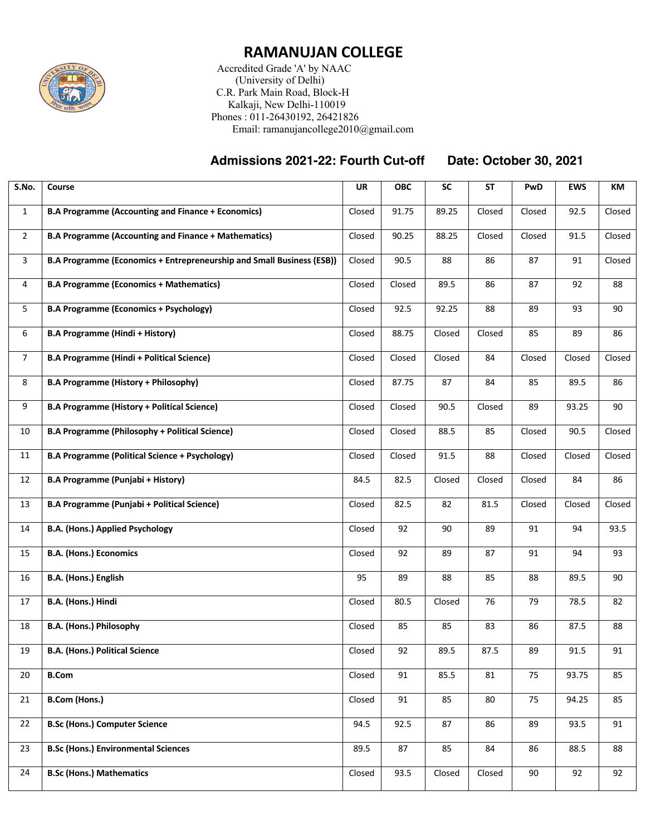

## **RAMANUJAN COLLEGE**

 Accredited Grade 'A' by NAAC (University of Delhi) C.R. Park Main Road, Block-H Kalkaji, New Delhi-110019 Phones : 011-26430192, 26421826 Email: ramanujancollege2010@gmail.com

## **Admissions 2021-22: Fourth Cut-off Date: October 30, 2021**

| S.No.          | Course                                                                | <b>UR</b> | <b>OBC</b> | SC     | <b>ST</b> | PwD    | <b>EWS</b> | KM     |
|----------------|-----------------------------------------------------------------------|-----------|------------|--------|-----------|--------|------------|--------|
| $\mathbf{1}$   | <b>B.A Programme (Accounting and Finance + Economics)</b>             | Closed    | 91.75      | 89.25  | Closed    | Closed | 92.5       | Closed |
| $\overline{2}$ | <b>B.A Programme (Accounting and Finance + Mathematics)</b>           | Closed    | 90.25      | 88.25  | Closed    | Closed | 91.5       | Closed |
| $\overline{3}$ | B.A Programme (Economics + Entrepreneurship and Small Business (ESB)) | Closed    | 90.5       | 88     | 86        | 87     | 91         | Closed |
| 4              | <b>B.A Programme (Economics + Mathematics)</b>                        | Closed    | Closed     | 89.5   | 86        | 87     | 92         | 88     |
| 5              | <b>B.A Programme (Economics + Psychology)</b>                         | Closed    | 92.5       | 92.25  | 88        | 89     | 93         | 90     |
| 6              | <b>B.A Programme (Hindi + History)</b>                                | Closed    | 88.75      | Closed | Closed    | 85     | 89         | 86     |
| $\overline{7}$ | <b>B.A Programme (Hindi + Political Science)</b>                      | Closed    | Closed     | Closed | 84        | Closed | Closed     | Closed |
| 8              | <b>B.A Programme (History + Philosophy)</b>                           | Closed    | 87.75      | 87     | 84        | 85     | 89.5       | 86     |
| 9              | <b>B.A Programme (History + Political Science)</b>                    | Closed    | Closed     | 90.5   | Closed    | 89     | 93.25      | 90     |
| 10             | <b>B.A Programme (Philosophy + Political Science)</b>                 | Closed    | Closed     | 88.5   | 85        | Closed | 90.5       | Closed |
| 11             | <b>B.A Programme (Political Science + Psychology)</b>                 | Closed    | Closed     | 91.5   | 88        | Closed | Closed     | Closed |
| 12             | B.A Programme (Punjabi + History)                                     | 84.5      | 82.5       | Closed | Closed    | Closed | 84         | 86     |
| 13             | B.A Programme (Punjabi + Political Science)                           | Closed    | 82.5       | 82     | 81.5      | Closed | Closed     | Closed |
| 14             | <b>B.A. (Hons.) Applied Psychology</b>                                | Closed    | 92         | 90     | 89        | 91     | 94         | 93.5   |
| 15             | <b>B.A. (Hons.) Economics</b>                                         | Closed    | 92         | 89     | 87        | 91     | 94         | 93     |
| 16             | B.A. (Hons.) English                                                  | 95        | 89         | 88     | 85        | 88     | 89.5       | 90     |
| 17             | B.A. (Hons.) Hindi                                                    | Closed    | 80.5       | Closed | 76        | 79     | 78.5       | 82     |
| 18             | B.A. (Hons.) Philosophy                                               | Closed    | 85         | 85     | 83        | 86     | 87.5       | 88     |
| 19             | <b>B.A. (Hons.) Political Science</b>                                 | Closed    | 92         | 89.5   | 87.5      | 89     | 91.5       | 91     |
| 20             | <b>B.Com</b>                                                          | Closed    | 91         | 85.5   | 81        | 75     | 93.75      | 85     |
| 21             | <b>B.Com (Hons.)</b>                                                  | Closed    | 91         | 85     | 80        | 75     | 94.25      | 85     |
| 22             | <b>B.Sc (Hons.) Computer Science</b>                                  | 94.5      | 92.5       | 87     | 86        | 89     | 93.5       | 91     |
| 23             | <b>B.Sc (Hons.) Environmental Sciences</b>                            | 89.5      | 87         | 85     | 84        | 86     | 88.5       | 88     |
| 24             | <b>B.Sc (Hons.) Mathematics</b>                                       | Closed    | 93.5       | Closed | Closed    | 90     | 92         | 92     |